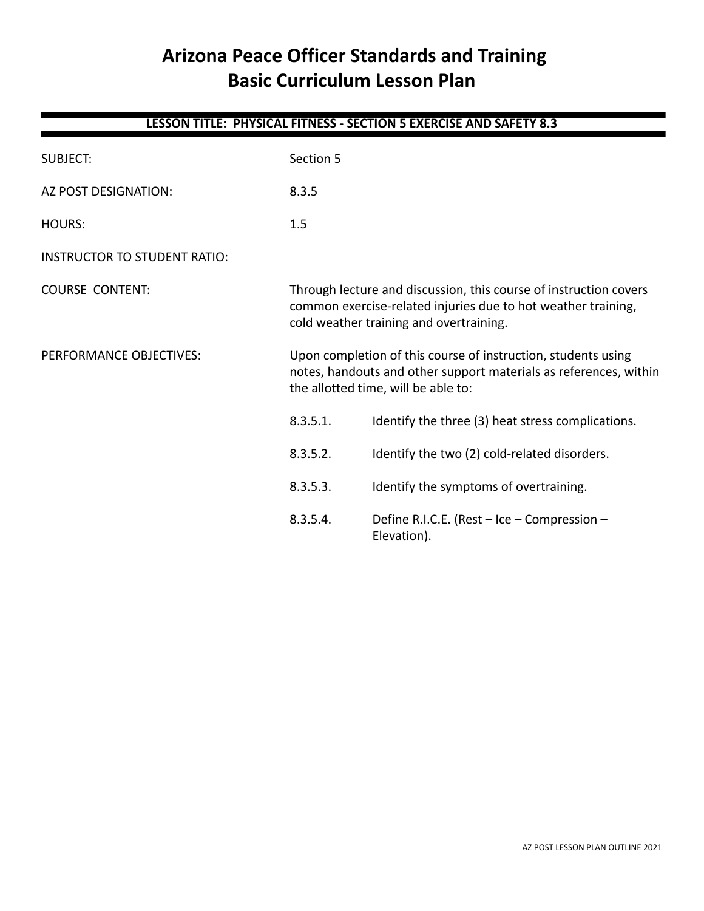# **Arizona Peace Officer Standards and Training Basic Curriculum Lesson Plan**

| LESSON TITLE: PHYSICAL FITNESS - SECTION 5 EXERCISE AND SAFETY 8.3 |           |                                                                                                                                                                               |  |
|--------------------------------------------------------------------|-----------|-------------------------------------------------------------------------------------------------------------------------------------------------------------------------------|--|
| <b>SUBJECT:</b>                                                    | Section 5 |                                                                                                                                                                               |  |
| AZ POST DESIGNATION:                                               | 8.3.5     |                                                                                                                                                                               |  |
| <b>HOURS:</b>                                                      | 1.5       |                                                                                                                                                                               |  |
| <b>INSTRUCTOR TO STUDENT RATIO:</b>                                |           |                                                                                                                                                                               |  |
| <b>COURSE CONTENT:</b>                                             |           | Through lecture and discussion, this course of instruction covers<br>common exercise-related injuries due to hot weather training,<br>cold weather training and overtraining. |  |
| PERFORMANCE OBJECTIVES:                                            |           | Upon completion of this course of instruction, students using<br>notes, handouts and other support materials as references, within<br>the allotted time, will be able to:     |  |
|                                                                    | 8.3.5.1.  | Identify the three (3) heat stress complications.                                                                                                                             |  |
|                                                                    | 8.3.5.2.  | Identify the two (2) cold-related disorders.                                                                                                                                  |  |
|                                                                    | 8.3.5.3.  | Identify the symptoms of overtraining.                                                                                                                                        |  |
|                                                                    | 8.3.5.4.  | Define R.I.C.E. (Rest - Ice - Compression -<br>Elevation).                                                                                                                    |  |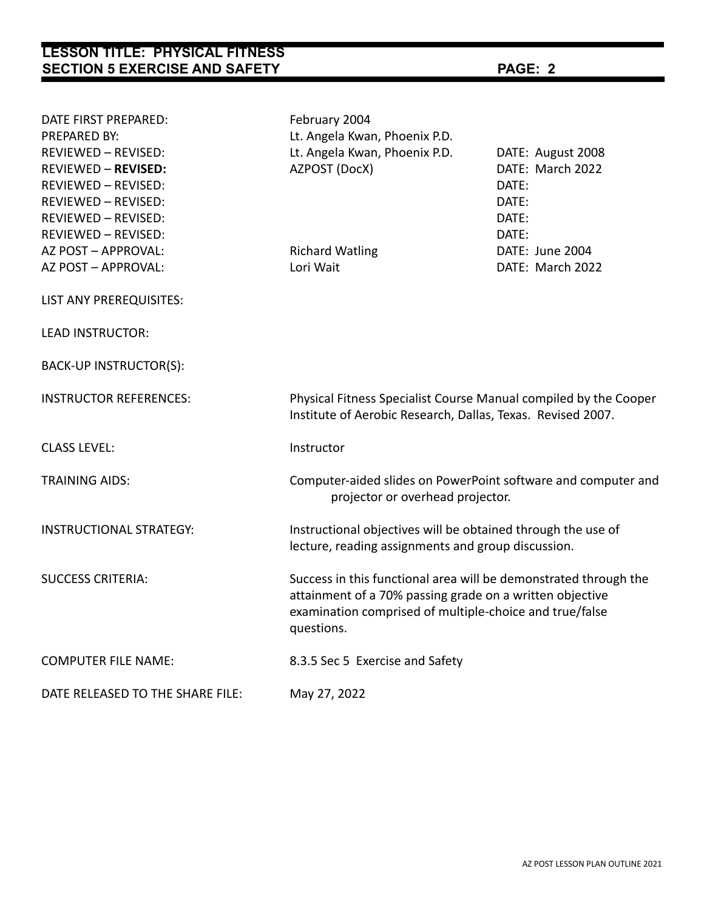| <b>LESSON TITLE: PHYSICAL FITNESS</b><br><b>SECTION 5 EXERCISE AND SAFETY</b> |                                                                                                                                                                                                       | PAGE: 2           |  |
|-------------------------------------------------------------------------------|-------------------------------------------------------------------------------------------------------------------------------------------------------------------------------------------------------|-------------------|--|
|                                                                               |                                                                                                                                                                                                       |                   |  |
| DATE FIRST PREPARED:                                                          | February 2004                                                                                                                                                                                         |                   |  |
| <b>PREPARED BY:</b>                                                           | Lt. Angela Kwan, Phoenix P.D.                                                                                                                                                                         |                   |  |
| REVIEWED - REVISED:                                                           | Lt. Angela Kwan, Phoenix P.D.                                                                                                                                                                         | DATE: August 2008 |  |
| <b>REVIEWED - REVISED:</b>                                                    | AZPOST (DocX)                                                                                                                                                                                         | DATE: March 2022  |  |
| <b>REVIEWED - REVISED:</b>                                                    |                                                                                                                                                                                                       | DATE:             |  |
| <b>REVIEWED - REVISED:</b>                                                    |                                                                                                                                                                                                       | DATE:             |  |
| REVIEWED - REVISED:                                                           |                                                                                                                                                                                                       | DATE:             |  |
| REVIEWED - REVISED:                                                           |                                                                                                                                                                                                       | DATE:             |  |
| AZ POST - APPROVAL:                                                           | <b>Richard Watling</b>                                                                                                                                                                                | DATE: June 2004   |  |
| AZ POST - APPROVAL:                                                           | Lori Wait                                                                                                                                                                                             | DATE: March 2022  |  |
| LIST ANY PREREQUISITES:                                                       |                                                                                                                                                                                                       |                   |  |
| <b>LEAD INSTRUCTOR:</b>                                                       |                                                                                                                                                                                                       |                   |  |
| BACK-UP INSTRUCTOR(S):                                                        |                                                                                                                                                                                                       |                   |  |
| <b>INSTRUCTOR REFERENCES:</b>                                                 | Physical Fitness Specialist Course Manual compiled by the Cooper<br>Institute of Aerobic Research, Dallas, Texas. Revised 2007.                                                                       |                   |  |
| <b>CLASS LEVEL:</b>                                                           | Instructor                                                                                                                                                                                            |                   |  |
| <b>TRAINING AIDS:</b>                                                         | Computer-aided slides on PowerPoint software and computer and<br>projector or overhead projector.                                                                                                     |                   |  |
| <b>INSTRUCTIONAL STRATEGY:</b>                                                | Instructional objectives will be obtained through the use of<br>lecture, reading assignments and group discussion.                                                                                    |                   |  |
| <b>SUCCESS CRITERIA:</b>                                                      | Success in this functional area will be demonstrated through the<br>attainment of a 70% passing grade on a written objective<br>examination comprised of multiple-choice and true/false<br>questions. |                   |  |
| <b>COMPUTER FILE NAME:</b>                                                    | 8.3.5 Sec 5 Exercise and Safety                                                                                                                                                                       |                   |  |
| DATE RELEASED TO THE SHARE FILE:                                              | May 27, 2022                                                                                                                                                                                          |                   |  |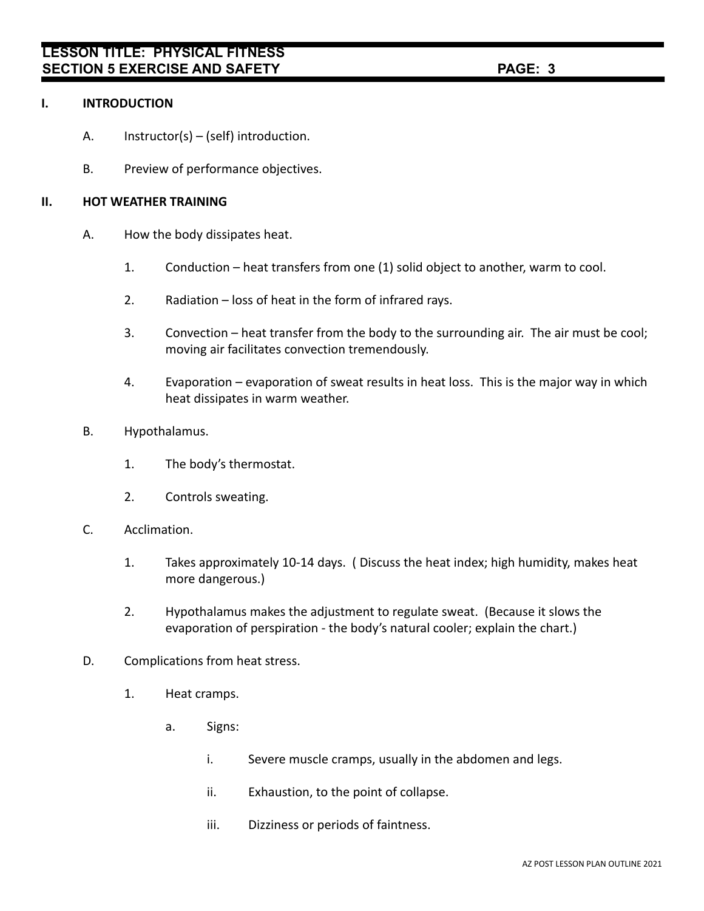## **I. INTRODUCTION**

- A. Instructor(s) (self) introduction.
- B. Preview of performance objectives.

# **II. HOT WEATHER TRAINING**

- A. How the body dissipates heat.
	- 1. Conduction heat transfers from one (1) solid object to another, warm to cool.
	- 2. Radiation loss of heat in the form of infrared rays.
	- 3. Convection heat transfer from the body to the surrounding air. The air must be cool; moving air facilitates convection tremendously.
	- 4. Evaporation evaporation of sweat results in heat loss. This is the major way in which heat dissipates in warm weather.
- B. Hypothalamus.
	- 1. The body's thermostat.
	- 2. Controls sweating.
- C. Acclimation.
	- 1. Takes approximately 10-14 days. ( Discuss the heat index; high humidity, makes heat more dangerous.)
	- 2. Hypothalamus makes the adjustment to regulate sweat. (Because it slows the evaporation of perspiration - the body's natural cooler; explain the chart.)
- D. Complications from heat stress.
	- 1. Heat cramps.
		- a. Signs:
			- i. Severe muscle cramps, usually in the abdomen and legs.
			- ii. Exhaustion, to the point of collapse.
			- iii. Dizziness or periods of faintness.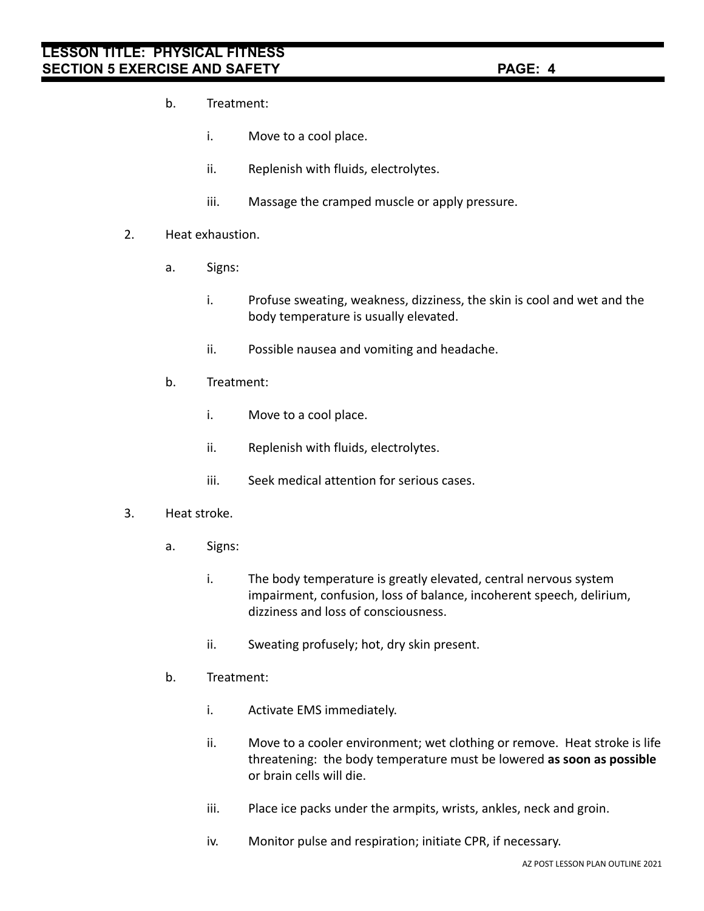# **LESSON TITLE: PHYSICAL FITNESS SECTION 5 EXERCISE AND SAFETY PAGE: 4**

- b. Treatment:
	- i. Move to a cool place.
	- ii. Replenish with fluids, electrolytes.
	- iii. Massage the cramped muscle or apply pressure.
- 2. Heat exhaustion.
	- a. Signs:
		- i. Profuse sweating, weakness, dizziness, the skin is cool and wet and the body temperature is usually elevated.
		- ii. Possible nausea and vomiting and headache.
	- b. Treatment:
		- i. Move to a cool place.
		- ii. Replenish with fluids, electrolytes.
		- iii. Seek medical attention for serious cases.

#### 3. Heat stroke.

- a. Signs:
	- i. The body temperature is greatly elevated, central nervous system impairment, confusion, loss of balance, incoherent speech, delirium, dizziness and loss of consciousness.
	- ii. Sweating profusely; hot, dry skin present.
- b. Treatment:
	- i. Activate EMS immediately.
	- ii. Move to a cooler environment; wet clothing or remove. Heat stroke is life threatening: the body temperature must be lowered **as soon as possible** or brain cells will die.
	- iii. Place ice packs under the armpits, wrists, ankles, neck and groin.
	- iv. Monitor pulse and respiration; initiate CPR, if necessary.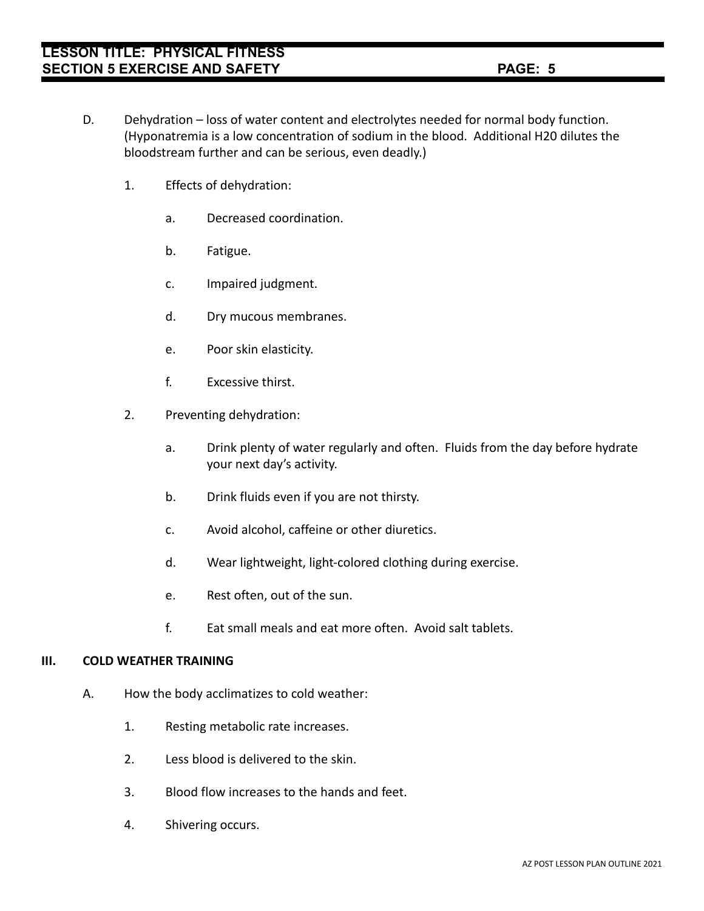- D. Dehydration loss of water content and electrolytes needed for normal body function. (Hyponatremia is a low concentration of sodium in the blood. Additional H20 dilutes the bloodstream further and can be serious, even deadly.)
	- 1. Effects of dehydration:
		- a. Decreased coordination.
		- b. Fatigue.
		- c. Impaired judgment.
		- d. Dry mucous membranes.
		- e. Poor skin elasticity.
		- f. Excessive thirst.
	- 2. Preventing dehydration:
		- a. Drink plenty of water regularly and often. Fluids from the day before hydrate your next day's activity.
		- b. Drink fluids even if you are not thirsty.
		- c. Avoid alcohol, caffeine or other diuretics.
		- d. Wear lightweight, light-colored clothing during exercise.
		- e. Rest often, out of the sun.
		- f. Eat small meals and eat more often. Avoid salt tablets.

#### **III. COLD WEATHER TRAINING**

- A. How the body acclimatizes to cold weather:
	- 1. Resting metabolic rate increases.
	- 2. Less blood is delivered to the skin.
	- 3. Blood flow increases to the hands and feet.
	- 4. Shivering occurs.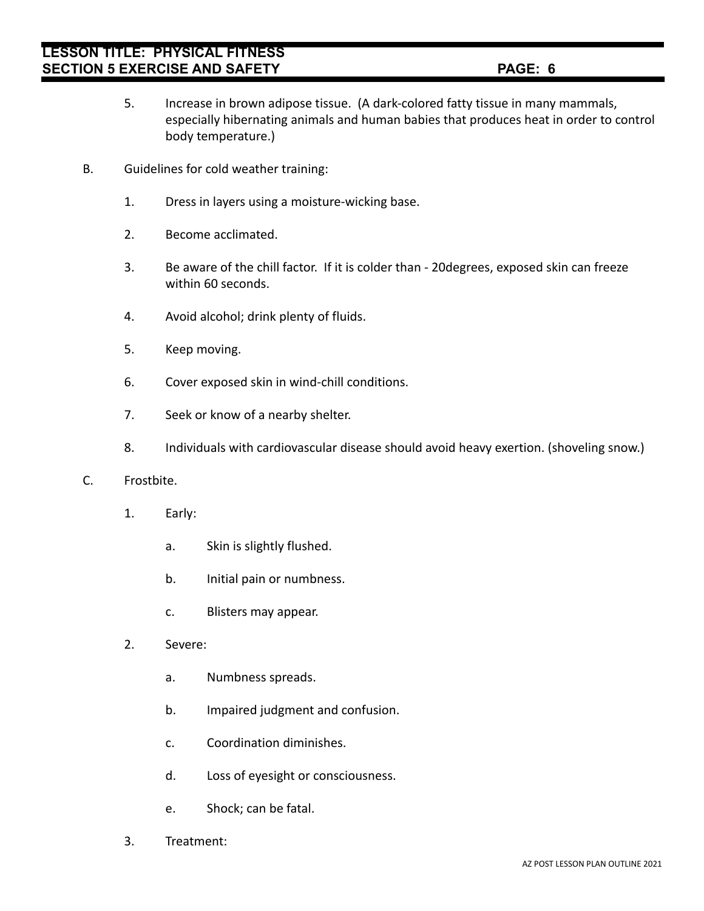- 5. Increase in brown adipose tissue. (A dark-colored fatty tissue in many mammals, especially hibernating animals and human babies that produces heat in order to control body temperature.)
- B. Guidelines for cold weather training:
	- 1. Dress in layers using a moisture-wicking base.
	- 2. Become acclimated.
	- 3. Be aware of the chill factor. If it is colder than 20degrees, exposed skin can freeze within 60 seconds.
	- 4. Avoid alcohol; drink plenty of fluids.
	- 5. Keep moving.
	- 6. Cover exposed skin in wind-chill conditions.
	- 7. Seek or know of a nearby shelter.
	- 8. Individuals with cardiovascular disease should avoid heavy exertion. (shoveling snow.)

#### C. Frostbite.

- 1. Early:
	- a. Skin is slightly flushed.
	- b. Initial pain or numbness.
	- c. Blisters may appear.
- 2. Severe:
	- a. Numbness spreads.
	- b. Impaired judgment and confusion.
	- c. Coordination diminishes.
	- d. Loss of eyesight or consciousness.
	- e. Shock; can be fatal.
- 3. Treatment: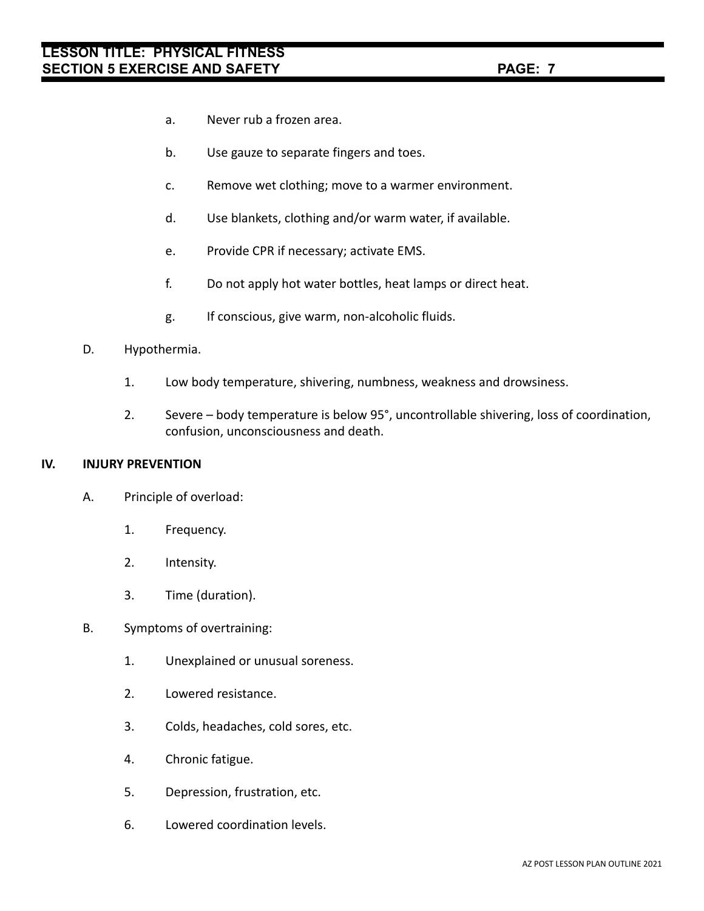- a. Never rub a frozen area.
- b. Use gauze to separate fingers and toes.
- c. Remove wet clothing; move to a warmer environment.
- d. Use blankets, clothing and/or warm water, if available.
- e. Provide CPR if necessary; activate EMS.
- f. Do not apply hot water bottles, heat lamps or direct heat.
- g. If conscious, give warm, non-alcoholic fluids.
- D. Hypothermia.
	- 1. Low body temperature, shivering, numbness, weakness and drowsiness.
	- 2. Severe body temperature is below 95°, uncontrollable shivering, loss of coordination, confusion, unconsciousness and death.

## **IV. INJURY PREVENTION**

- A. Principle of overload:
	- 1. Frequency.
	- 2. Intensity.
	- 3. Time (duration).
- B. Symptoms of overtraining:
	- 1. Unexplained or unusual soreness.
	- 2. Lowered resistance.
	- 3. Colds, headaches, cold sores, etc.
	- 4. Chronic fatigue.
	- 5. Depression, frustration, etc.
	- 6. Lowered coordination levels.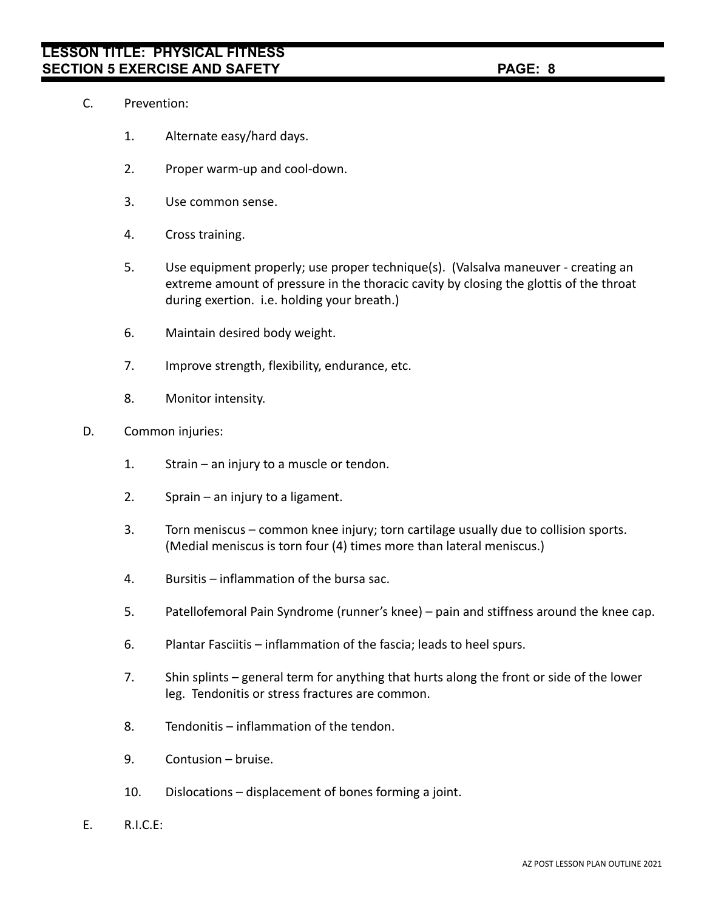- C. Prevention:
	- 1. Alternate easy/hard days.
	- 2. Proper warm-up and cool-down.
	- 3. Use common sense.
	- 4. Cross training.
	- 5. Use equipment properly; use proper technique(s). (Valsalva maneuver creating an extreme amount of pressure in the thoracic cavity by closing the glottis of the throat during exertion. i.e. holding your breath.)
	- 6. Maintain desired body weight.
	- 7. Improve strength, flexibility, endurance, etc.
	- 8. Monitor intensity.
- D. Common injuries:
	- 1. Strain an injury to a muscle or tendon.
	- 2. Sprain an injury to a ligament.
	- 3. Torn meniscus common knee injury; torn cartilage usually due to collision sports. (Medial meniscus is torn four (4) times more than lateral meniscus.)
	- 4. Bursitis inflammation of the bursa sac.
	- 5. Patellofemoral Pain Syndrome (runner's knee) pain and stiffness around the knee cap.
	- 6. Plantar Fasciitis inflammation of the fascia; leads to heel spurs.
	- 7. Shin splints general term for anything that hurts along the front or side of the lower leg. Tendonitis or stress fractures are common.
	- 8. Tendonitis inflammation of the tendon.
	- 9. Contusion bruise.
	- 10. Dislocations displacement of bones forming a joint.
- E. R.I.C.E: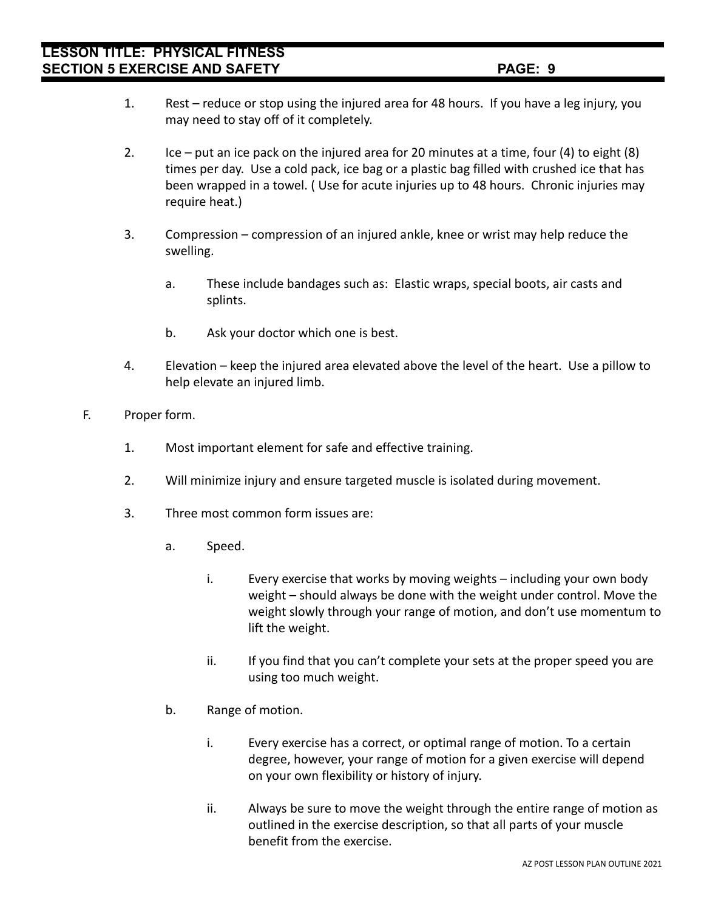- 1. Rest reduce or stop using the injured area for 48 hours. If you have a leg injury, you may need to stay off of it completely.
- 2. Ice put an ice pack on the injured area for 20 minutes at a time, four (4) to eight  $(8)$ times per day. Use a cold pack, ice bag or a plastic bag filled with crushed ice that has been wrapped in a towel. ( Use for acute injuries up to 48 hours. Chronic injuries may require heat.)
- 3. Compression compression of an injured ankle, knee or wrist may help reduce the swelling.
	- a. These include bandages such as: Elastic wraps, special boots, air casts and splints.
	- b. Ask your doctor which one is best.
- 4. Elevation keep the injured area elevated above the level of the heart. Use a pillow to help elevate an injured limb.
- F. Proper form.
	- 1. Most important element for safe and effective training.
	- 2. Will minimize injury and ensure targeted muscle is isolated during movement.
	- 3. Three most common form issues are:
		- a. Speed.
			- i. Every exercise that works by moving weights including your own body weight – should always be done with the weight under control. Move the weight slowly through your range of motion, and don't use momentum to lift the weight.
			- ii. If you find that you can't complete your sets at the proper speed you are using too much weight.
		- b. Range of motion.
			- i. Every exercise has a correct, or optimal range of motion. To a certain degree, however, your range of motion for a given exercise will depend on your own flexibility or history of injury.
			- ii. Always be sure to move the weight through the entire range of motion as outlined in the exercise description, so that all parts of your muscle benefit from the exercise.